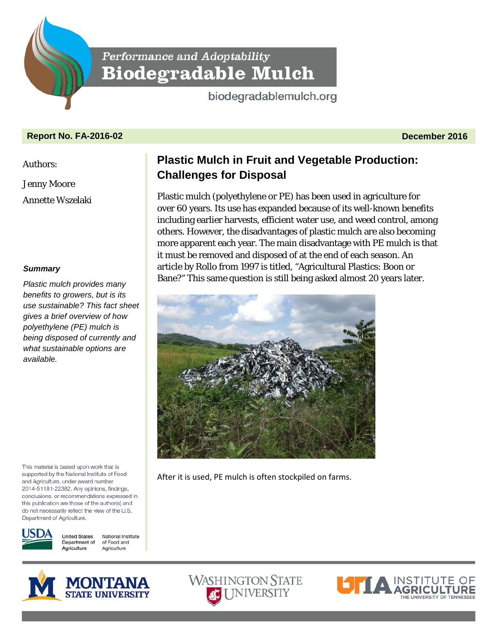Performance and Adoptability **Biodegradable Mulch** 

biodegradablemulch.org

# **Report No. FA-2016-02 December 2016**

Authors:

Jenny Moore

Annette Wszelaki

## *Summary*

*Plastic mulch provides many benefits to growers, but is its use sustainable? This fact sheet gives a brief overview of how polyethylene (PE) mulch is being disposed of currently and what sustainable options are available.*

This material is based upon work that is supported by the National Institute of Food and Agriculture, under award number 2014-51181-22382. Any opinions, findings, conclusions, or recommendations expressed in this publication are those of the author(s) and do not necessarily reflect the view of the U.S. Department of Agriculture.



**United States** National Institute Department of of Food and Agriculture Agriculture

# **Plastic Mulch in Fruit and Vegetable Production: Challenges for Disposal**

Plastic mulch (polyethylene or PE) has been used in agriculture for over 60 years. Its use has expanded because of its well-known benefits including earlier harvests, efficient water use, and weed control, among others. However, the disadvantages of plastic mulch are also becoming more apparent each year. The main disadvantage with PE mulch is that it must be removed and disposed of at the end of each season. An article by Rollo from 1997 is titled, "Agricultural Plastics: Boon or Bane?" This same question is still being asked almost 20 years later.



After it is used, PE mulch is often stockpiled on farms.





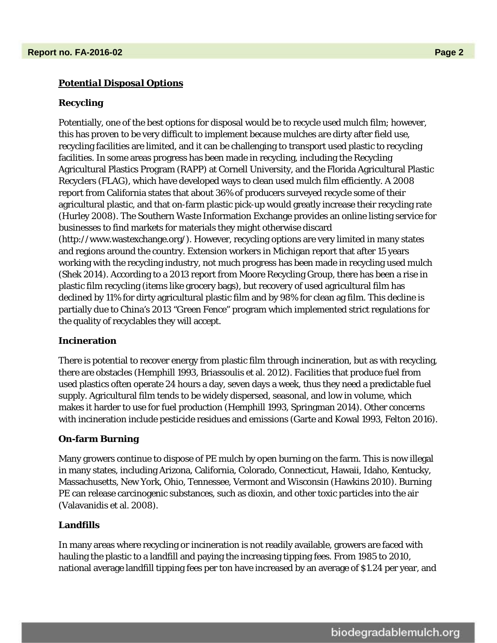# *Potential Disposal Options*

## **Recycling**

Potentially, one of the best options for disposal would be to recycle used mulch film; however, this has proven to be very difficult to implement because mulches are dirty after field use, recycling facilities are limited, and it can be challenging to transport used plastic to recycling facilities. In some areas progress has been made in recycling, including the Recycling Agricultural Plastics Program (RAPP) at Cornell University, and the Florida Agricultural Plastic Recyclers (FLAG), which have developed ways to clean used mulch film efficiently. A 2008 report from California states that about 36% of producers surveyed recycle some of their agricultural plastic, and that on-farm plastic pick-up would greatly increase their recycling rate (Hurley 2008). The Southern Waste Information Exchange provides an online listing service for businesses to find markets for materials they might otherwise discard (http://www.wastexchange.org/). However, recycling options are very limited in many states and regions around the country. Extension workers in Michigan report that after 15 years working with the recycling industry, not much progress has been made in recycling used mulch (Shek 2014). According to a 2013 report from Moore Recycling Group, there has been a rise in plastic film recycling (items like grocery bags), but recovery of used agricultural film has declined by 11% for dirty agricultural plastic film and by 98% for clean ag film. This decline is partially due to China's 2013 "Green Fence" program which implemented strict regulations for the quality of recyclables they will accept.

## **Incineration**

There is potential to recover energy from plastic film through incineration, but as with recycling, there are obstacles (Hemphill 1993, Briassoulis et al. 2012). Facilities that produce fuel from used plastics often operate 24 hours a day, seven days a week, thus they need a predictable fuel supply. Agricultural film tends to be widely dispersed, seasonal, and low in volume, which makes it harder to use for fuel production (Hemphill 1993, Springman 2014). Other concerns with incineration include pesticide residues and emissions (Garte and Kowal 1993, Felton 2016).

#### **On-farm Burning**

Many growers continue to dispose of PE mulch by open burning on the farm. This is now illegal in many states, including Arizona, California, Colorado, Connecticut, Hawaii, Idaho, Kentucky, Massachusetts, New York, Ohio, Tennessee, Vermont and Wisconsin (Hawkins 2010). Burning PE can release carcinogenic substances, such as dioxin, and other toxic particles into the air (Valavanidis et al. 2008).

#### **Landfills**

In many areas where recycling or incineration is not readily available, growers are faced with hauling the plastic to a landfill and paying the increasing tipping fees. From 1985 to 2010, national average landfill tipping fees per ton have increased by an average of \$1.24 per year, and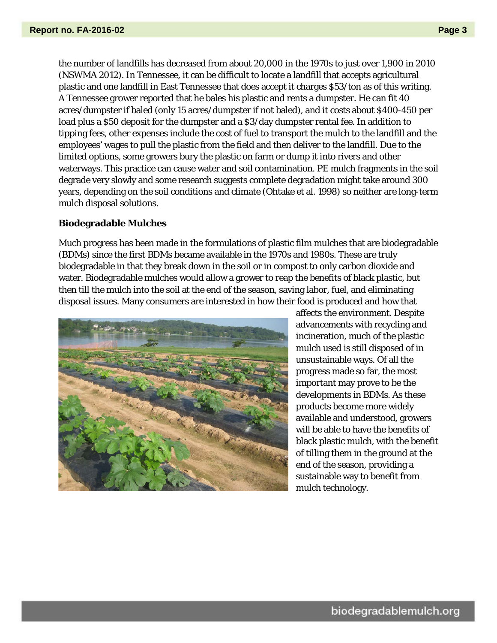the number of landfills has decreased from about 20,000 in the 1970s to just over 1,900 in 2010 (NSWMA 2012). In Tennessee, it can be difficult to locate a landfill that accepts agricultural plastic and one landfill in East Tennessee that does accept it charges \$53/ton as of this writing. A Tennessee grower reported that he bales his plastic and rents a dumpster. He can fit 40 acres/dumpster if baled (only 15 acres/dumpster if not baled), and it costs about \$400-450 per load plus a \$50 deposit for the dumpster and a \$3/day dumpster rental fee. In addition to tipping fees, other expenses include the cost of fuel to transport the mulch to the landfill and the employees' wages to pull the plastic from the field and then deliver to the landfill. Due to the limited options, some growers bury the plastic on farm or dump it into rivers and other waterways. This practice can cause water and soil contamination. PE mulch fragments in the soil degrade very slowly and some research suggests complete degradation might take around 300 years, depending on the soil conditions and climate (Ohtake et al. 1998) so neither are long-term mulch disposal solutions.

#### **Biodegradable Mulches**

Much progress has been made in the formulations of plastic film mulches that are biodegradable (BDMs) since the first BDMs became available in the 1970s and 1980s. These are truly biodegradable in that they break down in the soil or in compost to only carbon dioxide and water. Biodegradable mulches would allow a grower to reap the benefits of black plastic, but then till the mulch into the soil at the end of the season, saving labor, fuel, and eliminating disposal issues. Many consumers are interested in how their food is produced and how that



affects the environment. Despite advancements with recycling and incineration, much of the plastic mulch used is still disposed of in unsustainable ways. Of all the progress made so far, the most important may prove to be the developments in BDMs. As these products become more widely available and understood, growers will be able to have the benefits of black plastic mulch, with the benefit of tilling them in the ground at the end of the season, providing a sustainable way to benefit from mulch technology.